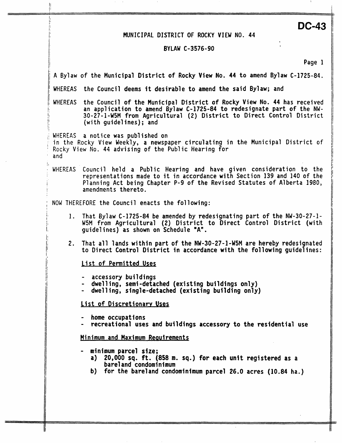## MUNICIPAL DISTRICT OF ROCKY VIEW NO. 44

[j

ŧ

i i sve se obrazovanja se obrazovanja i sve se obrazovanja se obrazovanja se obrazovanja se obrazovanja se obr

**DC-43** 

## **BY LAW C-3 576** - **90**

| Page 1                                                                                                                                                                                                                                                       |
|--------------------------------------------------------------------------------------------------------------------------------------------------------------------------------------------------------------------------------------------------------------|
| A Bylaw of the Municipal District of Rocky View No. 44 to amend Bylaw C-1725-84.                                                                                                                                                                             |
| WHEREAS the Council deems it desirable to amend the said Bylaw; and                                                                                                                                                                                          |
| WHEREAS the Council of the Municipal District of Rocky View No. 44 has received<br>an application to amend Bylaw C-1725-84 to redesignate part of the NW-<br>30-27-1-W5M from Agricultural (2) District to Direct Control District<br>(with guidelines); and |
| WHEREAS a notice was published on<br>in the Rocky View Weekly, a newspaper circulating in the Municipal District of<br>Rocky View No. 44 advising of the Public Hearing for<br>and                                                                           |
| WHEREAS Council held a Public Hearing and have given consideration to the<br>representations made to it in accordance with Section 139 and 140 of the<br>Planning Act being Chapter P-9 of the Revised Statutes of Alberta 1980,<br>amendments thereto.      |
| NOW THEREFORE the Council enacts the following:                                                                                                                                                                                                              |
| 1. That Bylaw C-1725-84 be amended by redesignating part of the NW-30-27-1-<br>W5M from Agricultural (2) District to Direct Control District (with<br>quidelines) as shown on Schedule "A".                                                                  |
| 2. That all lands within part of the NW-30-27-1-W5M are hereby redesignated<br>to Direct Control District in accordance with the following guidelines:                                                                                                       |
| List of Permitted Uses                                                                                                                                                                                                                                       |
| - accessory buildings<br>- dwelling, semi-detached (existing buildings only)<br>- dwelling, single-detached (existing building only)                                                                                                                         |
| List of Discretionary Uses                                                                                                                                                                                                                                   |
| home occupations<br>recreational uses and buildings accessory to the residential use                                                                                                                                                                         |
| Minimum and Maximum Requirements                                                                                                                                                                                                                             |
| minimum parcel size;<br>a) 20,000 sq. ft. (858 m. sq.) for each unit registered as a<br>bareland condominimum<br>b) for the bareland condominimum parcel 26.0 acres (10.84 ha.)                                                                              |
|                                                                                                                                                                                                                                                              |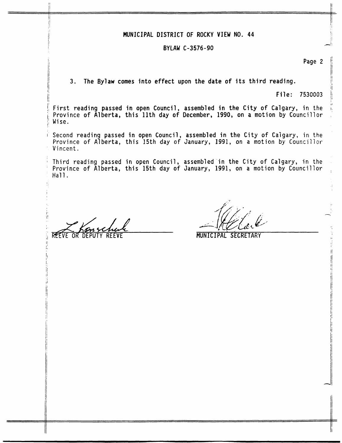## MUNICIPAL DISTRICT OF ROCKY VIEW NO. 44

## -' **BYLAW C-3576-90**

**Page 2** //

j/

it

ij

**3. The Bylaw comes into effect upon the date of its third reading.** j: **<sup>l</sup>**

**File: 7530003** ]/

**First reading passed in open Council** , **assembled in the City** of **Calgary, in the** 1: **Province** of **Alberta, this 11th day of December, 1990, on a motion by Councillor** <sup>I</sup> **Wise.** 

**Second reading passed in open Council, Province** of **Alberta, this 15th** day of **Vincent** . **assembled in the City** of **Calgary, in the January, 1991, on a motion by Councillor** 

**Third reading passed in open Council, Province** of **Alberta, this 15th day** of **Hall. assembled in the City** of **Calgary, in the January, 1991, on a motion by Councillor** :

REEVE OR DEPUTY REEVE

jl Ii

**MUNICIPAL SECRETARY**